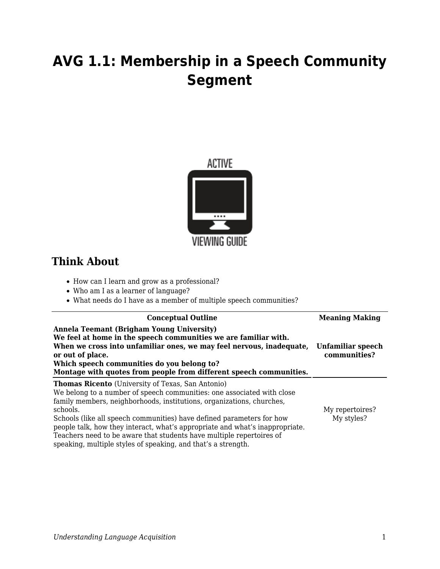## **AVG 1.1: Membership in a Speech Community Segment**



## **Think About**

- How can I learn and grow as a professional?
- Who am I as a learner of language?
- What needs do I have as a member of multiple speech communities?

| <b>Conceptual Outline</b>                                                                                                                                                                                                                                                                                                                                                                                                                                                                                                 | <b>Meaning Making</b>             |
|---------------------------------------------------------------------------------------------------------------------------------------------------------------------------------------------------------------------------------------------------------------------------------------------------------------------------------------------------------------------------------------------------------------------------------------------------------------------------------------------------------------------------|-----------------------------------|
| Annela Teemant (Brigham Young University)<br>We feel at home in the speech communities we are familiar with.<br>When we cross into unfamiliar ones, we may feel nervous, inadequate,<br>or out of place.<br>Which speech communities do you belong to?<br>Montage with quotes from people from different speech communities.                                                                                                                                                                                              | Unfamiliar speech<br>communities? |
| <b>Thomas Ricento</b> (University of Texas, San Antonio)<br>We belong to a number of speech communities; one associated with close<br>family members, neighborhoods, institutions, organizations, churches,<br>schools.<br>Schools (like all speech communities) have defined parameters for how<br>people talk, how they interact, what's appropriate and what's inappropriate.<br>Teachers need to be aware that students have multiple repertoires of<br>speaking, multiple styles of speaking, and that's a strength. | My repertoires?<br>My styles?     |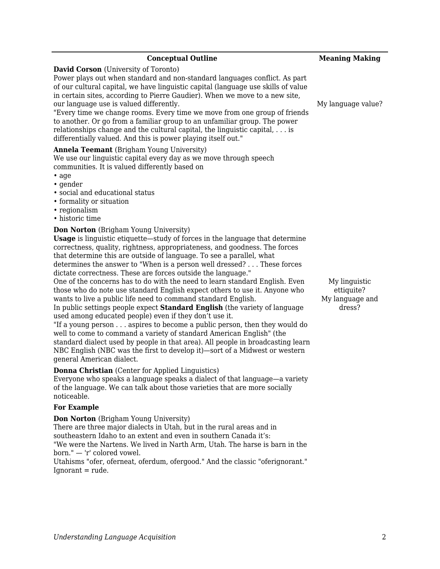| <b>Conceptual Outline</b>                                                                                                                                                                                                                                                                                                                                                                                                                                                                                                                                                                                                                                                                                                                                                                                                                                                                                                                                                                                                                                                                                                                                                                                                                                                                                                                                                                                                                                                                                                                                                                                                                                                                         | <b>Meaning Making</b>                                    |
|---------------------------------------------------------------------------------------------------------------------------------------------------------------------------------------------------------------------------------------------------------------------------------------------------------------------------------------------------------------------------------------------------------------------------------------------------------------------------------------------------------------------------------------------------------------------------------------------------------------------------------------------------------------------------------------------------------------------------------------------------------------------------------------------------------------------------------------------------------------------------------------------------------------------------------------------------------------------------------------------------------------------------------------------------------------------------------------------------------------------------------------------------------------------------------------------------------------------------------------------------------------------------------------------------------------------------------------------------------------------------------------------------------------------------------------------------------------------------------------------------------------------------------------------------------------------------------------------------------------------------------------------------------------------------------------------------|----------------------------------------------------------|
| <b>David Corson</b> (University of Toronto)<br>Power plays out when standard and non-standard languages conflict. As part<br>of our cultural capital, we have linguistic capital (language use skills of value<br>in certain sites, according to Pierre Gaudier). When we move to a new site,<br>our language use is valued differently.<br>"Every time we change rooms. Every time we move from one group of friends<br>to another. Or go from a familiar group to an unfamiliar group. The power<br>relationships change and the cultural capital, the linguistic capital, $\dots$ is<br>differentially valued. And this is power playing itself out."                                                                                                                                                                                                                                                                                                                                                                                                                                                                                                                                                                                                                                                                                                                                                                                                                                                                                                                                                                                                                                          | My language value?                                       |
| <b>Annela Teemant</b> (Brigham Young University)<br>We use our linguistic capital every day as we move through speech<br>communities. It is valued differently based on<br>$\cdot$ age<br>• gender<br>• social and educational status<br>• formality or situation<br>• regionalism<br>• historic time<br><b>Don Norton</b> (Brigham Young University)<br><b>Usage</b> is linguistic etiquette—study of forces in the language that determine<br>correctness, quality, rightness, appropriateness, and goodness. The forces<br>that determine this are outside of language. To see a parallel, what<br>determines the answer to "When is a person well dressed? These forces<br>dictate correctness. These are forces outside the language."<br>One of the concerns has to do with the need to learn standard English. Even<br>those who do note use standard English expect others to use it. Anyone who<br>wants to live a public life need to command standard English.<br>In public settings people expect Standard English (the variety of language<br>used among educated people) even if they don't use it.<br>"If a young person aspires to become a public person, then they would do<br>well to come to command a variety of standard American English" (the<br>standard dialect used by people in that area). All people in broadcasting learn<br>NBC English (NBC was the first to develop it)—sort of a Midwest or western<br>general American dialect.<br>Donna Christian (Center for Applied Linguistics)<br>Everyone who speaks a language speaks a dialect of that language—a variety<br>of the language. We can talk about those varieties that are more socially<br>noticeable. | My linguistic<br>ettiquite?<br>My language and<br>dress? |
| <b>For Example</b>                                                                                                                                                                                                                                                                                                                                                                                                                                                                                                                                                                                                                                                                                                                                                                                                                                                                                                                                                                                                                                                                                                                                                                                                                                                                                                                                                                                                                                                                                                                                                                                                                                                                                |                                                          |
| <b>Don Norton</b> (Brigham Young University)<br>There are three major dialects in Utah, but in the rural areas and in<br>southeastern Idaho to an extent and even in southern Canada it's:<br>"We were the Nartens. We lived in Narth Arm, Utah. The harse is barn in the<br>born." - 'r' colored vowel.<br>Utahisms "ofer, oferneat, oferdum, ofergood." And the classic "oferignorant."<br>$I$ gnorant = rude.                                                                                                                                                                                                                                                                                                                                                                                                                                                                                                                                                                                                                                                                                                                                                                                                                                                                                                                                                                                                                                                                                                                                                                                                                                                                                  |                                                          |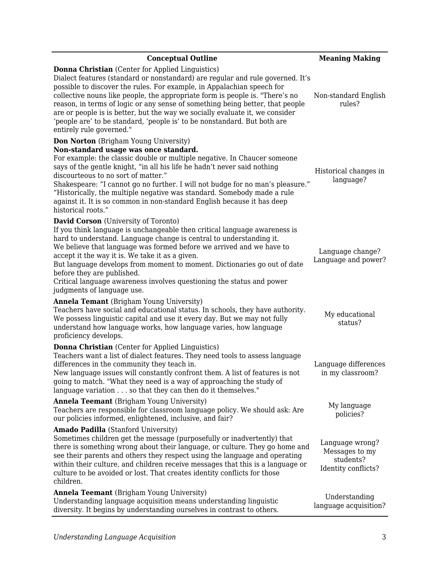| <b>Conceptual Outline</b>                                                                                                                                                                                                                                                                                                                                                                                                                                                                                                                                                    | <b>Meaning Making</b>                                                 |
|------------------------------------------------------------------------------------------------------------------------------------------------------------------------------------------------------------------------------------------------------------------------------------------------------------------------------------------------------------------------------------------------------------------------------------------------------------------------------------------------------------------------------------------------------------------------------|-----------------------------------------------------------------------|
| <b>Donna Christian</b> (Center for Applied Linguistics)<br>Dialect features (standard or nonstandard) are regular and rule governed. It's<br>possible to discover the rules. For example, in Appalachian speech for<br>collective nouns like people, the appropriate form is people is. "There's no<br>reason, in terms of logic or any sense of something being better, that people<br>are or people is is better, but the way we socially evaluate it, we consider<br>'people are' to be standard, 'people is' to be nonstandard. But both are<br>entirely rule governed." | Non-standard English<br>rules?                                        |
| <b>Don Norton</b> (Brigham Young University)<br>Non-standard usage was once standard.<br>For example: the classic double or multiple negative. In Chaucer someone<br>says of the gentle knight, "in all his life he hadn't never said nothing<br>discourteous to no sort of matter."<br>Shakespeare: "I cannot go no further. I will not budge for no man's pleasure."<br>"Historically, the multiple negative was standard. Somebody made a rule<br>against it. It is so common in non-standard English because it has deep<br>historical roots."                           | Historical changes in<br>language?                                    |
| <b>David Corson</b> (University of Toronto)<br>If you think language is unchangeable then critical language awareness is<br>hard to understand. Language change is central to understanding it.<br>We believe that language was formed before we arrived and we have to<br>accept it the way it is. We take it as a given.<br>But language develops from moment to moment. Dictionaries go out of date<br>before they are published.<br>Critical language awareness involves questioning the status and power<br>judgments of language use.                                  | Language change?<br>Language and power?                               |
| <b>Annela Temant</b> (Brigham Young University)<br>Teachers have social and educational status. In schools, they have authority.<br>We possess linguistic capital and use it every day. But we may not fully<br>understand how language works, how language varies, how language<br>proficiency develops.                                                                                                                                                                                                                                                                    | My educational<br>status?                                             |
| <b>Donna Christian</b> (Center for Applied Linguistics)<br>Teachers want a list of dialect features. They need tools to assess language<br>differences in the community they teach in.<br>New language issues will constantly confront them. A list of features is not<br>going to match. "What they need is a way of approaching the study of<br>language variation so that they can then do it themselves."                                                                                                                                                                | Language differences<br>in my classroom?                              |
| <b>Annela Teemant</b> (Brigham Young University)<br>Teachers are responsible for classroom language policy. We should ask: Are<br>our policies informed, enlightened, inclusive, and fair?                                                                                                                                                                                                                                                                                                                                                                                   | My language<br>policies?                                              |
| <b>Amado Padilla</b> (Stanford University)<br>Sometimes children get the message (purposefully or inadvertently) that<br>there is something wrong about their language, or culture. They go home and<br>see their parents and others they respect using the language and operating<br>within their culture, and children receive messages that this is a language or<br>culture to be avoided or lost. That creates identity conflicts for those<br>children.                                                                                                                | Language wrong?<br>Messages to my<br>students?<br>Identity conflicts? |
| Annela Teemant (Brigham Young University)<br>Understanding language acquisition means understanding linguistic<br>diversity. It begins by understanding ourselves in contrast to others.                                                                                                                                                                                                                                                                                                                                                                                     | Understanding<br>language acquisition?                                |